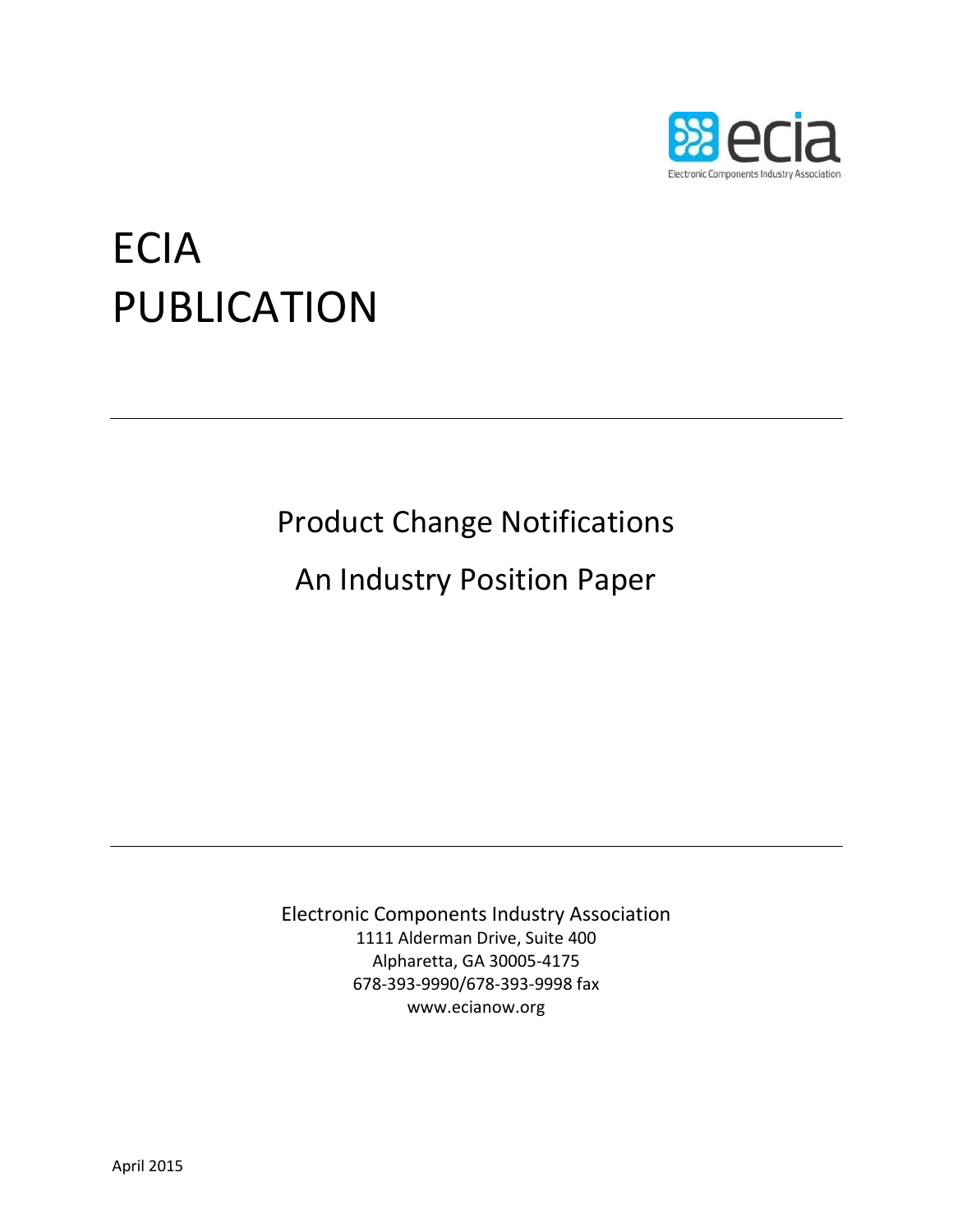

# ECIA PUBLICATION

## Product Change Notifications

### An Industry Position Paper

Electronic Components Industry Association 1111 Alderman Drive, Suite 400 Alpharetta, GA 30005-4175 678-393-9990/678-393-9998 fax www.ecianow.org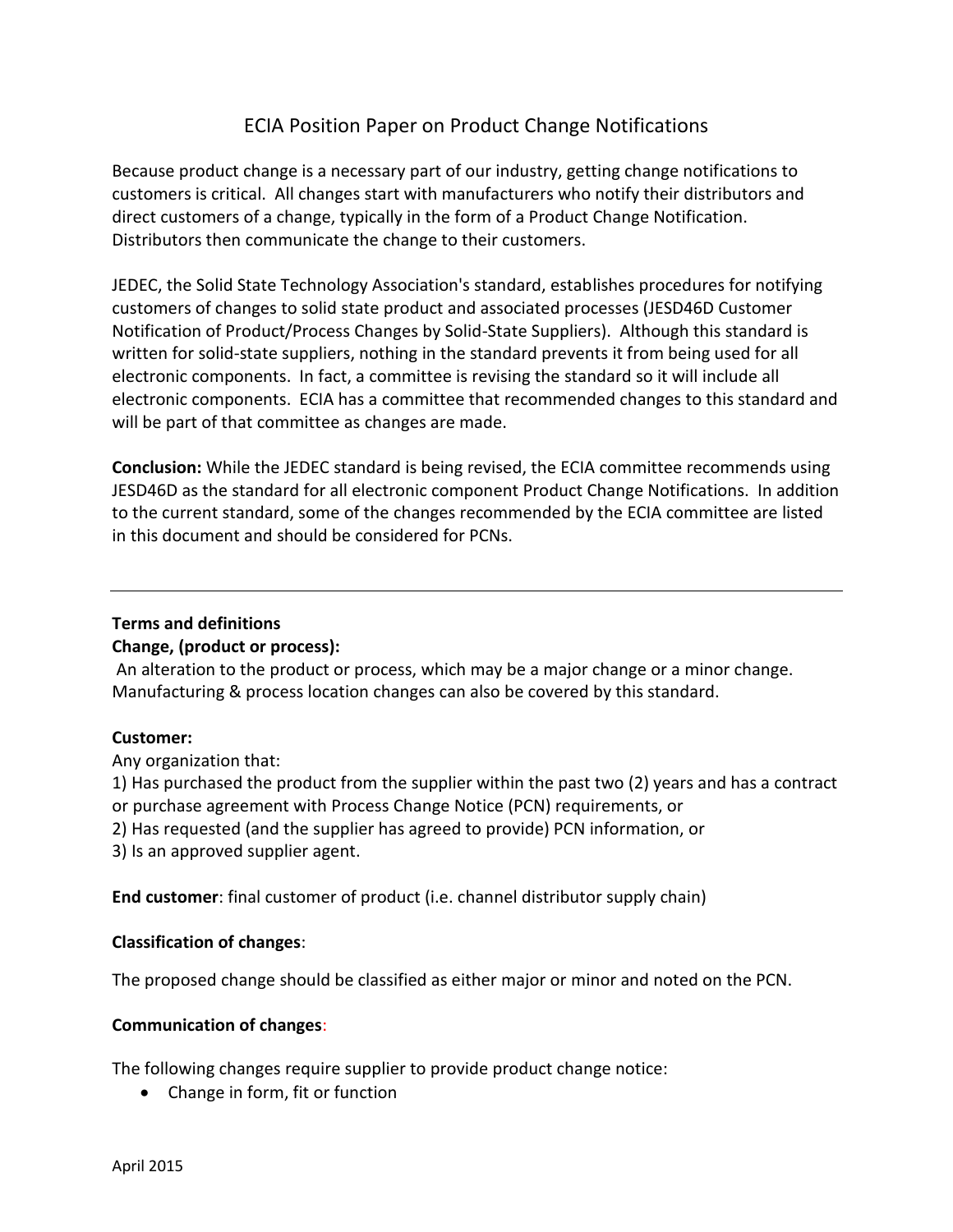### ECIA Position Paper on Product Change Notifications

Because product change is a necessary part of our industry, getting change notifications to customers is critical. All changes start with manufacturers who notify their distributors and direct customers of a change, typically in the form of a Product Change Notification. Distributors then communicate the change to their customers.

JEDEC, the Solid State Technology Association's standard, establishes procedures for notifying customers of changes to solid state product and associated processes (JESD46D Customer Notification of Product/Process Changes by Solid-State Suppliers). Although this standard is written for solid-state suppliers, nothing in the standard prevents it from being used for all electronic components. In fact, a committee is revising the standard so it will include all electronic components. ECIA has a committee that recommended changes to this standard and will be part of that committee as changes are made.

**Conclusion:** While the JEDEC standard is being revised, the ECIA committee recommends using JESD46D as the standard for all electronic component Product Change Notifications. In addition to the current standard, some of the changes recommended by the ECIA committee are listed in this document and should be considered for PCNs.

#### **Terms and definitions**

#### **Change, (product or process):**

An alteration to the product or process, which may be a major change or a minor change. Manufacturing & process location changes can also be covered by this standard.

#### **Customer:**

Any organization that:

1) Has purchased the product from the supplier within the past two (2) years and has a contract or purchase agreement with Process Change Notice (PCN) requirements, or

2) Has requested (and the supplier has agreed to provide) PCN information, or

3) Is an approved supplier agent.

**End customer**: final customer of product (i.e. channel distributor supply chain)

#### **Classification of changes**:

The proposed change should be classified as either major or minor and noted on the PCN.

#### **Communication of changes**:

The following changes require supplier to provide product change notice:

• Change in form, fit or function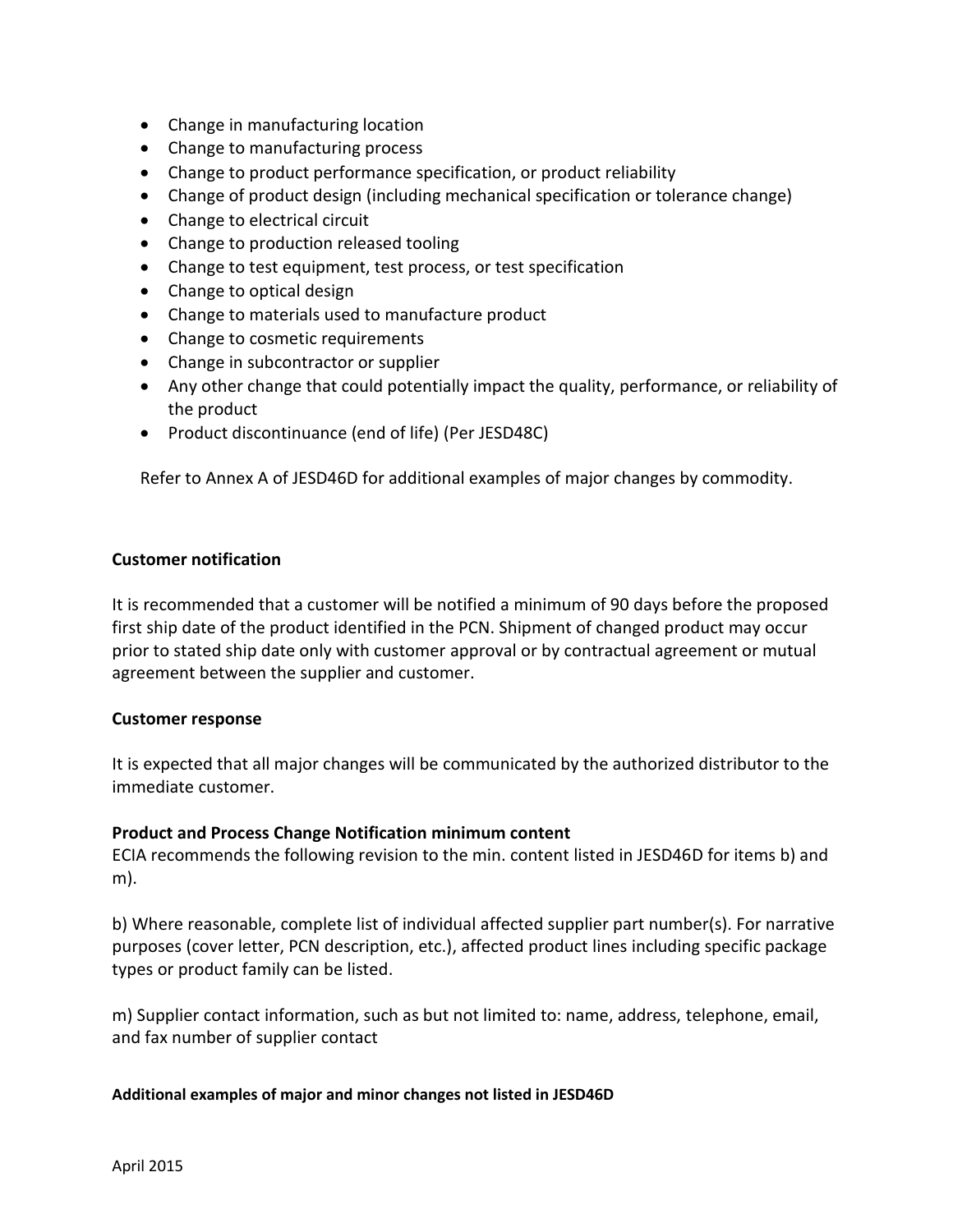- Change in manufacturing location
- Change to manufacturing process
- Change to product performance specification, or product reliability
- Change of product design (including mechanical specification or tolerance change)
- Change to electrical circuit
- Change to production released tooling
- Change to test equipment, test process, or test specification
- Change to optical design
- Change to materials used to manufacture product
- Change to cosmetic requirements
- Change in subcontractor or supplier
- Any other change that could potentially impact the quality, performance, or reliability of the product
- Product discontinuance (end of life) (Per JESD48C)

Refer to Annex A of JESD46D for additional examples of major changes by commodity.

#### **Customer notification**

It is recommended that a customer will be notified a minimum of 90 days before the proposed first ship date of the product identified in the PCN. Shipment of changed product may occur prior to stated ship date only with customer approval or by contractual agreement or mutual agreement between the supplier and customer.

#### **Customer response**

It is expected that all major changes will be communicated by the authorized distributor to the immediate customer.

#### **Product and Process Change Notification minimum content**

ECIA recommends the following revision to the min. content listed in JESD46D for items b) and m).

b) Where reasonable, complete list of individual affected supplier part number(s). For narrative purposes (cover letter, PCN description, etc.), affected product lines including specific package types or product family can be listed.

m) Supplier contact information, such as but not limited to: name, address, telephone, email, and fax number of supplier contact

#### **Additional examples of major and minor changes not listed in JESD46D**